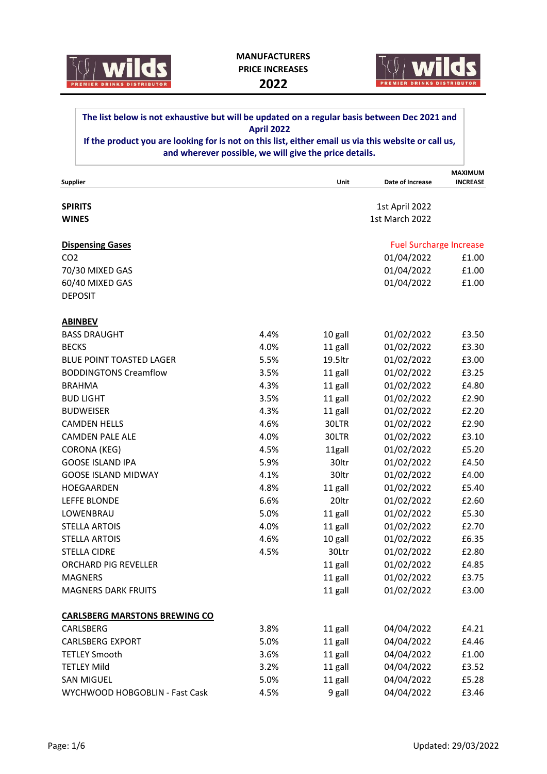



## **The list below is not exhaustive but will be updated on a regular basis between Dec 2021 and April 2022**

**If the product you are looking for is not on this list, either email us via this website or call us, and wherever possible, we will give the price details.**

|                                      |      |         |                                | <b>MAXIMUM</b>  |
|--------------------------------------|------|---------|--------------------------------|-----------------|
| Supplier                             |      | Unit    | Date of Increase               | <b>INCREASE</b> |
|                                      |      |         |                                |                 |
| <b>SPIRITS</b>                       |      |         | 1st April 2022                 |                 |
| <b>WINES</b>                         |      |         | 1st March 2022                 |                 |
| <b>Dispensing Gases</b>              |      |         | <b>Fuel Surcharge Increase</b> |                 |
| CO <sub>2</sub>                      |      |         | 01/04/2022                     | £1.00           |
| 70/30 MIXED GAS                      |      |         | 01/04/2022                     | £1.00           |
| 60/40 MIXED GAS                      |      |         | 01/04/2022                     | £1.00           |
| <b>DEPOSIT</b>                       |      |         |                                |                 |
| <b>ABINBEV</b>                       |      |         |                                |                 |
| <b>BASS DRAUGHT</b>                  | 4.4% | 10 gall | 01/02/2022                     | £3.50           |
| <b>BECKS</b>                         | 4.0% | 11 gall | 01/02/2022                     | £3.30           |
| <b>BLUE POINT TOASTED LAGER</b>      | 5.5% | 19.5ltr | 01/02/2022                     | £3.00           |
| <b>BODDINGTONS Creamflow</b>         | 3.5% | 11 gall | 01/02/2022                     | £3.25           |
| <b>BRAHMA</b>                        | 4.3% | 11 gall | 01/02/2022                     | £4.80           |
| <b>BUD LIGHT</b>                     | 3.5% | 11 gall | 01/02/2022                     | £2.90           |
| <b>BUDWEISER</b>                     | 4.3% | 11 gall | 01/02/2022                     | £2.20           |
| <b>CAMDEN HELLS</b>                  | 4.6% | 30LTR   | 01/02/2022                     | £2.90           |
| <b>CAMDEN PALE ALE</b>               | 4.0% | 30LTR   | 01/02/2022                     | £3.10           |
| <b>CORONA (KEG)</b>                  | 4.5% | 11gall  | 01/02/2022                     | £5.20           |
| <b>GOOSE ISLAND IPA</b>              | 5.9% | 30ltr   | 01/02/2022                     | £4.50           |
| <b>GOOSE ISLAND MIDWAY</b>           | 4.1% | 30ltr   | 01/02/2022                     | £4.00           |
| HOEGAARDEN                           | 4.8% | 11 gall | 01/02/2022                     | £5.40           |
| LEFFE BLONDE                         | 6.6% | 20ltr   | 01/02/2022                     | £2.60           |
| LOWENBRAU                            | 5.0% | 11 gall | 01/02/2022                     | £5.30           |
| <b>STELLA ARTOIS</b>                 | 4.0% | 11 gall | 01/02/2022                     | £2.70           |
| <b>STELLA ARTOIS</b>                 | 4.6% | 10 gall | 01/02/2022                     | £6.35           |
| <b>STELLA CIDRE</b>                  | 4.5% | 30Ltr   | 01/02/2022                     | £2.80           |
| <b>ORCHARD PIG REVELLER</b>          |      | 11 gall | 01/02/2022                     | £4.85           |
| <b>MAGNERS</b>                       |      | 11 gall | 01/02/2022                     | £3.75           |
| <b>MAGNERS DARK FRUITS</b>           |      | 11 gall | 01/02/2022                     | £3.00           |
| <b>CARLSBERG MARSTONS BREWING CO</b> |      |         |                                |                 |
| CARLSBERG                            | 3.8% | 11 gall | 04/04/2022                     | £4.21           |
| <b>CARLSBERG EXPORT</b>              | 5.0% | 11 gall | 04/04/2022                     | £4.46           |
| <b>TETLEY Smooth</b>                 | 3.6% | 11 gall | 04/04/2022                     | £1.00           |
| <b>TETLEY Mild</b>                   | 3.2% | 11 gall | 04/04/2022                     | £3.52           |
| <b>SAN MIGUEL</b>                    | 5.0% | 11 gall | 04/04/2022                     | £5.28           |
| WYCHWOOD HOBGOBLIN - Fast Cask       | 4.5% | 9 gall  | 04/04/2022                     | £3.46           |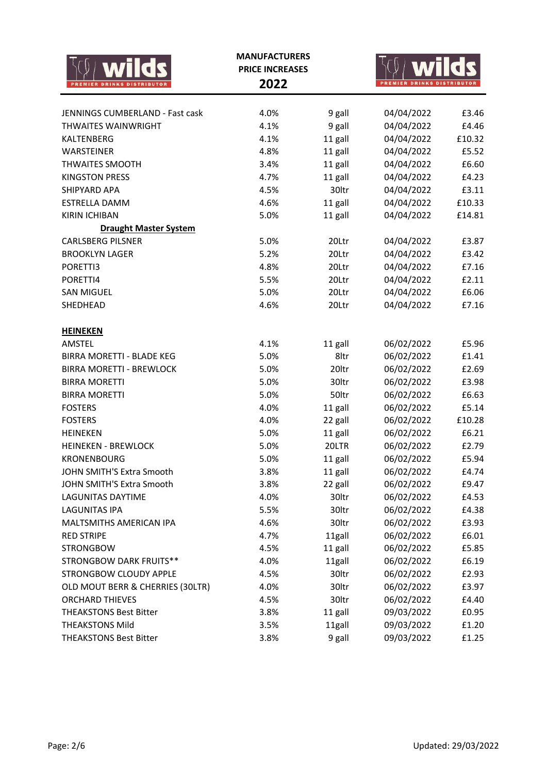|                                  | <b>MANUFACTURERS</b><br><b>PRICE INCREASES</b><br>2022 |         | <b>REMIER DRINKS DISTRIBUTOR</b> |        |  |
|----------------------------------|--------------------------------------------------------|---------|----------------------------------|--------|--|
| JENNINGS CUMBERLAND - Fast cask  | 4.0%                                                   | 9 gall  | 04/04/2022                       | £3.46  |  |
| <b>THWAITES WAINWRIGHT</b>       | 4.1%                                                   | 9 gall  | 04/04/2022                       | £4.46  |  |
| KALTENBERG                       | 4.1%                                                   | 11 gall | 04/04/2022                       | £10.32 |  |
| <b>WARSTEINER</b>                | 4.8%                                                   | 11 gall | 04/04/2022                       | £5.52  |  |
| <b>THWAITES SMOOTH</b>           | 3.4%                                                   | 11 gall | 04/04/2022                       | £6.60  |  |
| <b>KINGSTON PRESS</b>            | 4.7%                                                   | 11 gall | 04/04/2022                       | £4.23  |  |
| SHIPYARD APA                     | 4.5%                                                   | 30ltr   | 04/04/2022                       | £3.11  |  |
| <b>ESTRELLA DAMM</b>             | 4.6%                                                   | 11 gall | 04/04/2022                       | £10.33 |  |
| <b>KIRIN ICHIBAN</b>             | 5.0%                                                   | 11 gall | 04/04/2022                       | £14.81 |  |
| <b>Draught Master System</b>     |                                                        |         |                                  |        |  |
| <b>CARLSBERG PILSNER</b>         | 5.0%                                                   | 20Ltr   | 04/04/2022                       | £3.87  |  |
| <b>BROOKLYN LAGER</b>            | 5.2%                                                   | 20Ltr   | 04/04/2022                       | £3.42  |  |
| PORETTI3                         | 4.8%                                                   | 20Ltr   | 04/04/2022                       | £7.16  |  |
| PORETTI4                         | 5.5%                                                   | 20Ltr   | 04/04/2022                       | £2.11  |  |
| <b>SAN MIGUEL</b>                | 5.0%                                                   | 20Ltr   | 04/04/2022                       | £6.06  |  |
| SHEDHEAD                         | 4.6%                                                   | 20Ltr   | 04/04/2022                       | £7.16  |  |
| <b>HEINEKEN</b>                  |                                                        |         |                                  |        |  |
| AMSTEL                           | 4.1%                                                   | 11 gall | 06/02/2022                       | £5.96  |  |
| <b>BIRRA MORETTI - BLADE KEG</b> | 5.0%                                                   | 8ltr    | 06/02/2022                       | £1.41  |  |
| <b>BIRRA MORETTI - BREWLOCK</b>  | 5.0%                                                   | 20ltr   | 06/02/2022                       | £2.69  |  |
| <b>BIRRA MORETTI</b>             | 5.0%                                                   | 30ltr   | 06/02/2022                       | £3.98  |  |
| <b>BIRRA MORETTI</b>             | 5.0%                                                   | 50ltr   | 06/02/2022                       | £6.63  |  |
| <b>FOSTERS</b>                   | 4.0%                                                   | 11 gall | 06/02/2022                       | £5.14  |  |
| <b>FOSTERS</b>                   | 4.0%                                                   | 22 gall | 06/02/2022                       | £10.28 |  |
| <b>HEINEKEN</b>                  | 5.0%                                                   | 11 gall | 06/02/2022                       | £6.21  |  |
| <b>HEINEKEN - BREWLOCK</b>       | 5.0%                                                   | 20LTR   | 06/02/2022                       | £2.79  |  |
| <b>KRONENBOURG</b>               | 5.0%                                                   | 11 gall | 06/02/2022                       | £5.94  |  |
| JOHN SMITH'S Extra Smooth        | 3.8%                                                   | 11 gall | 06/02/2022                       | £4.74  |  |
| JOHN SMITH'S Extra Smooth        | 3.8%                                                   | 22 gall | 06/02/2022                       | £9.47  |  |
| <b>LAGUNITAS DAYTIME</b>         | 4.0%                                                   | 30ltr   | 06/02/2022                       | £4.53  |  |
| <b>LAGUNITAS IPA</b>             | 5.5%                                                   | 30ltr   | 06/02/2022                       | £4.38  |  |
| MALTSMITHS AMERICAN IPA          | 4.6%                                                   | 30ltr   | 06/02/2022                       | £3.93  |  |
| <b>RED STRIPE</b>                | 4.7%                                                   | 11gall  | 06/02/2022                       | £6.01  |  |
| <b>STRONGBOW</b>                 | 4.5%                                                   | 11 gall | 06/02/2022                       | £5.85  |  |
| STRONGBOW DARK FRUITS**          | 4.0%                                                   | 11gall  | 06/02/2022                       | £6.19  |  |
| STRONGBOW CLOUDY APPLE           | 4.5%                                                   | 30ltr   | 06/02/2022                       | £2.93  |  |
| OLD MOUT BERR & CHERRIES (30LTR) | 4.0%                                                   | 30ltr   | 06/02/2022                       | £3.97  |  |
| <b>ORCHARD THIEVES</b>           | 4.5%                                                   | 30ltr   | 06/02/2022                       | £4.40  |  |
| <b>THEAKSTONS Best Bitter</b>    | 3.8%                                                   | 11 gall | 09/03/2022                       | £0.95  |  |
| <b>THEAKSTONS Mild</b>           | 3.5%                                                   | 11gall  | 09/03/2022                       | £1.20  |  |
| <b>THEAKSTONS Best Bitter</b>    | 3.8%                                                   | 9 gall  | 09/03/2022                       | £1.25  |  |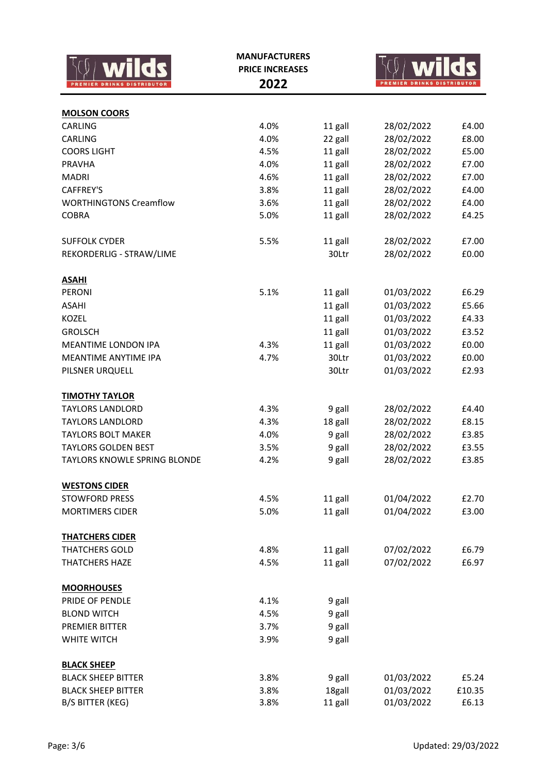| <b>MOLSON COORS</b>                                            |        |
|----------------------------------------------------------------|--------|
| CARLING<br>4.0%<br>11 gall<br>28/02/2022                       | £4.00  |
| CARLING<br>4.0%<br>22 gall<br>28/02/2022                       | £8.00  |
| 11 gall<br><b>COORS LIGHT</b><br>4.5%<br>28/02/2022            | £5.00  |
| 11 gall<br><b>PRAVHA</b><br>4.0%<br>28/02/2022                 | £7.00  |
| 11 gall<br><b>MADRI</b><br>4.6%<br>28/02/2022                  | £7.00  |
| 11 gall<br>28/02/2022<br>CAFFREY'S<br>3.8%                     | £4.00  |
| 28/02/2022<br><b>WORTHINGTONS Creamflow</b><br>3.6%<br>11 gall | £4.00  |
| <b>COBRA</b><br>5.0%<br>11 gall<br>28/02/2022                  | £4.25  |
|                                                                |        |
| <b>SUFFOLK CYDER</b><br>5.5%<br>11 gall<br>28/02/2022          | £7.00  |
| REKORDERLIG - STRAW/LIME<br>30Ltr<br>28/02/2022                | £0.00  |
| <b>ASAHI</b>                                                   |        |
| <b>PERONI</b><br>5.1%<br>01/03/2022<br>11 gall                 | £6.29  |
| 11 gall<br><b>ASAHI</b><br>01/03/2022                          | £5.66  |
| 11 gall<br><b>KOZEL</b><br>01/03/2022                          | £4.33  |
| <b>GROLSCH</b><br>11 gall<br>01/03/2022                        | £3.52  |
| 11 gall<br>01/03/2022<br>MEANTIME LONDON IPA<br>4.3%           | £0.00  |
| 01/03/2022<br>MEANTIME ANYTIME IPA<br>4.7%<br>30Ltr            | £0.00  |
| 30Ltr<br>01/03/2022<br>PILSNER URQUELL                         | £2.93  |
| <b>TIMOTHY TAYLOR</b>                                          |        |
| <b>TAYLORS LANDLORD</b><br>4.3%<br>28/02/2022<br>9 gall        | £4.40  |
| 28/02/2022<br><b>TAYLORS LANDLORD</b><br>4.3%<br>18 gall       | £8.15  |
| 28/02/2022<br><b>TAYLORS BOLT MAKER</b><br>4.0%<br>9 gall      | £3.85  |
| 28/02/2022<br><b>TAYLORS GOLDEN BEST</b><br>9 gall<br>3.5%     | £3.55  |
| 28/02/2022<br>TAYLORS KNOWLE SPRING BLONDE<br>4.2%<br>9 gall   | £3.85  |
|                                                                |        |
| <b>WESTONS CIDER</b>                                           |        |
| <b>STOWFORD PRESS</b><br>4.5%<br>11 gall<br>01/04/2022         | £2.70  |
| 5.0%<br>11 gall<br>01/04/2022<br><b>MORTIMERS CIDER</b>        | £3.00  |
| <b>THATCHERS CIDER</b>                                         |        |
| <b>THATCHERS GOLD</b><br>11 gall<br>4.8%<br>07/02/2022         | £6.79  |
| <b>THATCHERS HAZE</b><br>4.5%<br>11 gall<br>07/02/2022         | £6.97  |
| <b>MOORHOUSES</b>                                              |        |
| 4.1%<br>PRIDE OF PENDLE<br>9 gall                              |        |
| <b>BLOND WITCH</b><br>4.5%<br>9 gall                           |        |
| 9 gall<br><b>PREMIER BITTER</b><br>3.7%                        |        |
| WHITE WITCH<br>9 gall<br>3.9%                                  |        |
| <b>BLACK SHEEP</b>                                             |        |
| 9 gall<br><b>BLACK SHEEP BITTER</b><br>3.8%<br>01/03/2022      | £5.24  |
| 18gall<br>01/03/2022<br><b>BLACK SHEEP BITTER</b><br>3.8%      | £10.35 |
| 01/03/2022<br>B/S BITTER (KEG)<br>3.8%<br>11 gall              | £6.13  |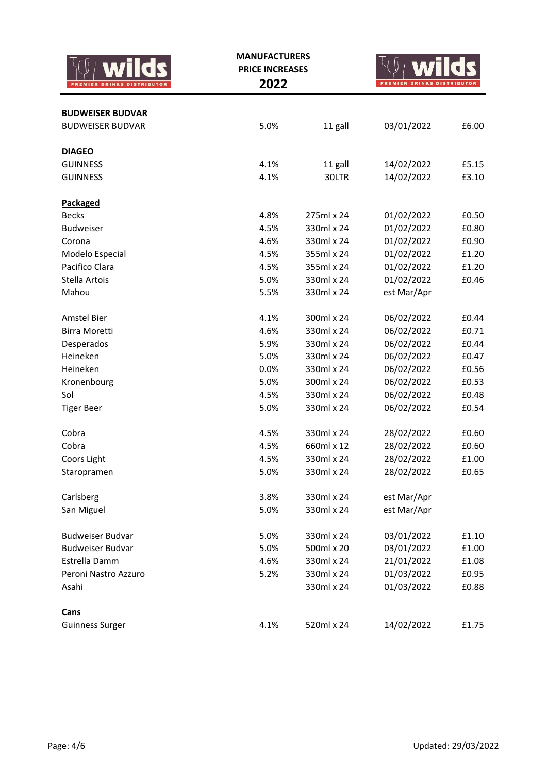|                         | <b>MANUFACTURERS</b><br><b>PRICE INCREASES</b><br>2022 |            |             |       |  |
|-------------------------|--------------------------------------------------------|------------|-------------|-------|--|
| <b>BUDWEISER BUDVAR</b> |                                                        |            |             |       |  |
| <b>BUDWEISER BUDVAR</b> | 5.0%                                                   | 11 gall    | 03/01/2022  | £6.00 |  |
| <b>DIAGEO</b>           |                                                        |            |             |       |  |
| <b>GUINNESS</b>         | 4.1%                                                   | 11 gall    | 14/02/2022  | £5.15 |  |
| <b>GUINNESS</b>         | 4.1%                                                   | 30LTR      | 14/02/2022  | £3.10 |  |
| Packaged                |                                                        |            |             |       |  |
| <b>Becks</b>            | 4.8%                                                   | 275ml x 24 | 01/02/2022  | £0.50 |  |
| <b>Budweiser</b>        | 4.5%                                                   | 330ml x 24 | 01/02/2022  | £0.80 |  |
| Corona                  | 4.6%                                                   | 330ml x 24 | 01/02/2022  | £0.90 |  |
| Modelo Especial         | 4.5%                                                   | 355ml x 24 | 01/02/2022  | £1.20 |  |
| Pacifico Clara          | 4.5%                                                   | 355ml x 24 | 01/02/2022  | £1.20 |  |
| Stella Artois           | 5.0%                                                   | 330ml x 24 | 01/02/2022  | £0.46 |  |
| Mahou                   | 5.5%                                                   | 330ml x 24 | est Mar/Apr |       |  |
| Amstel Bier             | 4.1%                                                   | 300ml x 24 | 06/02/2022  | £0.44 |  |
| <b>Birra Moretti</b>    | 4.6%                                                   | 330ml x 24 | 06/02/2022  | £0.71 |  |
| Desperados              | 5.9%                                                   | 330ml x 24 | 06/02/2022  | £0.44 |  |
| Heineken                | 5.0%                                                   | 330ml x 24 | 06/02/2022  | £0.47 |  |
| Heineken                | 0.0%                                                   | 330ml x 24 | 06/02/2022  | £0.56 |  |
| Kronenbourg             | 5.0%                                                   | 300ml x 24 | 06/02/2022  | £0.53 |  |
| Sol                     | 4.5%                                                   | 330ml x 24 | 06/02/2022  | £0.48 |  |
| <b>Tiger Beer</b>       | 5.0%                                                   | 330ml x 24 | 06/02/2022  | £0.54 |  |
| Cobra                   | 4.5%                                                   | 330ml x 24 | 28/02/2022  | £0.60 |  |
| Cobra                   | 4.5%                                                   | 660ml x 12 | 28/02/2022  | £0.60 |  |
| Coors Light             | 4.5%                                                   | 330ml x 24 | 28/02/2022  | £1.00 |  |
| Staropramen             | 5.0%                                                   | 330ml x 24 | 28/02/2022  | £0.65 |  |
| Carlsberg               | 3.8%                                                   | 330ml x 24 | est Mar/Apr |       |  |
| San Miguel              | 5.0%                                                   | 330ml x 24 | est Mar/Apr |       |  |
| <b>Budweiser Budvar</b> | 5.0%                                                   | 330ml x 24 | 03/01/2022  | £1.10 |  |
| <b>Budweiser Budvar</b> | 5.0%                                                   | 500ml x 20 | 03/01/2022  | £1.00 |  |
| Estrella Damm           | 4.6%                                                   | 330ml x 24 | 21/01/2022  | £1.08 |  |
| Peroni Nastro Azzuro    | 5.2%                                                   | 330ml x 24 | 01/03/2022  | £0.95 |  |
| Asahi                   |                                                        | 330ml x 24 | 01/03/2022  | £0.88 |  |
| <b>Cans</b>             |                                                        |            |             |       |  |
| <b>Guinness Surger</b>  | 4.1%                                                   | 520ml x 24 | 14/02/2022  | £1.75 |  |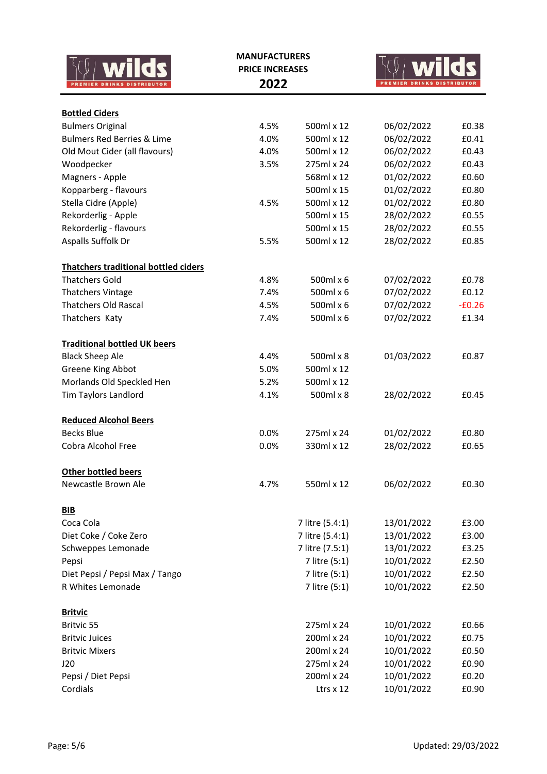|                                                  | <b>MANUFACTURERS</b><br><b>PRICE INCREASES</b> |                          |                          |                  |
|--------------------------------------------------|------------------------------------------------|--------------------------|--------------------------|------------------|
|                                                  | 2022                                           |                          | <b>DRINKS</b>            | <b>DISTRIBUT</b> |
|                                                  |                                                |                          |                          |                  |
| <b>Bottled Ciders</b><br><b>Bulmers Original</b> | 4.5%                                           | 500ml x 12               | 06/02/2022               | £0.38            |
| <b>Bulmers Red Berries &amp; Lime</b>            | 4.0%                                           | 500ml x 12               | 06/02/2022               | £0.41            |
| Old Mout Cider (all flavours)                    | 4.0%                                           | 500ml x 12               | 06/02/2022               | £0.43            |
| Woodpecker                                       | 3.5%                                           | 275ml x 24               | 06/02/2022               | £0.43            |
| Magners - Apple                                  |                                                | 568ml x 12               | 01/02/2022               | £0.60            |
| Kopparberg - flavours                            |                                                | 500ml x 15               | 01/02/2022               | £0.80            |
| Stella Cidre (Apple)                             | 4.5%                                           | 500ml x 12               | 01/02/2022               | £0.80            |
| Rekorderlig - Apple                              |                                                | 500ml x 15               | 28/02/2022               | £0.55            |
| Rekorderlig - flavours                           |                                                | 500ml x 15               | 28/02/2022               | £0.55            |
| Aspalls Suffolk Dr                               | 5.5%                                           | 500ml x 12               | 28/02/2022               | £0.85            |
| <b>Thatchers traditional bottled ciders</b>      |                                                |                          |                          |                  |
| <b>Thatchers Gold</b>                            | 4.8%                                           | 500ml x 6                | 07/02/2022               | £0.78            |
| <b>Thatchers Vintage</b>                         | 7.4%                                           | 500ml x 6                | 07/02/2022               | £0.12            |
| <b>Thatchers Old Rascal</b>                      | 4.5%                                           | 500ml x 6                | 07/02/2022               | $-E0.26$         |
| Thatchers Katy                                   | 7.4%                                           | 500ml x 6                | 07/02/2022               | £1.34            |
| <b>Traditional bottled UK beers</b>              |                                                |                          |                          |                  |
| <b>Black Sheep Ale</b>                           | 4.4%                                           | 500ml x 8                | 01/03/2022               | £0.87            |
| Greene King Abbot                                | 5.0%                                           | 500ml x 12               |                          |                  |
| Morlands Old Speckled Hen                        | 5.2%                                           | 500ml x 12               |                          |                  |
| Tim Taylors Landlord                             | 4.1%                                           | 500ml x 8                | 28/02/2022               | £0.45            |
| <b>Reduced Alcohol Beers</b>                     |                                                |                          |                          |                  |
| <b>Becks Blue</b>                                | 0.0%                                           | 275ml x 24               | 01/02/2022               | £0.80            |
| Cobra Alcohol Free                               | 0.0%                                           | 330ml x 12               | 28/02/2022               | £0.65            |
| <b>Other bottled beers</b>                       |                                                |                          |                          |                  |
| Newcastle Brown Ale                              | 4.7%                                           | 550ml x 12               | 06/02/2022               | £0.30            |
| BIB                                              |                                                |                          |                          |                  |
| Coca Cola                                        |                                                | 7 litre (5.4:1)          | 13/01/2022               | £3.00            |
| Diet Coke / Coke Zero                            |                                                | 7 litre (5.4:1)          | 13/01/2022               | £3.00            |
| Schweppes Lemonade                               |                                                | 7 litre (7.5:1)          | 13/01/2022               | £3.25            |
| Pepsi                                            |                                                | 7 litre (5:1)            | 10/01/2022               | £2.50            |
| Diet Pepsi / Pepsi Max / Tango                   |                                                | 7 litre (5:1)            | 10/01/2022               | £2.50            |
| R Whites Lemonade                                |                                                | 7 litre (5:1)            | 10/01/2022               | £2.50            |
| <b>Britvic</b>                                   |                                                |                          |                          |                  |
| Britvic 55                                       |                                                | 275ml x 24<br>200ml x 24 | 10/01/2022               | £0.66            |
| <b>Britvic Juices</b>                            |                                                |                          | 10/01/2022               | £0.75            |
| <b>Britvic Mixers</b>                            |                                                | 200ml x 24<br>275ml x 24 | 10/01/2022               | £0.50<br>£0.90   |
| J20                                              |                                                | 200ml x 24               | 10/01/2022               | £0.20            |
| Pepsi / Diet Pepsi<br>Cordials                   |                                                | Ltrs x 12                | 10/01/2022<br>10/01/2022 | £0.90            |
|                                                  |                                                |                          |                          |                  |